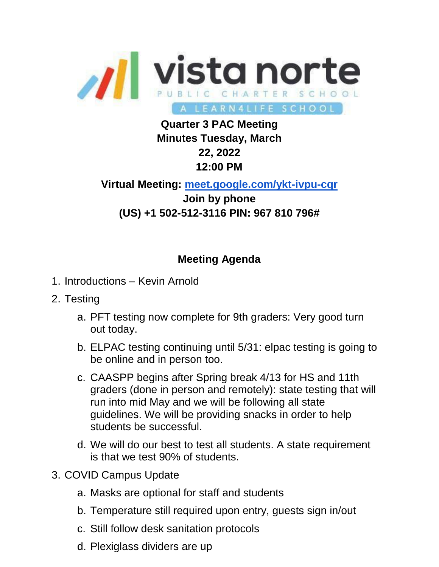

## **Quarter 3 PAC Meeting Minutes Tuesday, March 22, 2022 12:00 PM**

## **Virtual Meeting: [meet.google.com/ykt-ivpu-cqr](http://meet.google.com/ykt-ivpu-cqr) Join by phone (US) +1 502-512-3116 PIN: 967 810 796#**

## **Meeting Agenda**

- 1. Introductions Kevin Arnold
- 2. Testing
	- a. PFT testing now complete for 9th graders: Very good turn out today.
	- b. ELPAC testing continuing until 5/31: elpac testing is going to be online and in person too.
	- c. CAASPP begins after Spring break 4/13 for HS and 11th graders (done in person and remotely): state testing that will run into mid May and we will be following all state guidelines. We will be providing snacks in order to help students be successful.
	- d. We will do our best to test all students. A state requirement is that we test 90% of students.
- 3. COVID Campus Update
	- a. Masks are optional for staff and students
	- b. Temperature still required upon entry, guests sign in/out
	- c. Still follow desk sanitation protocols
	- d. Plexiglass dividers are up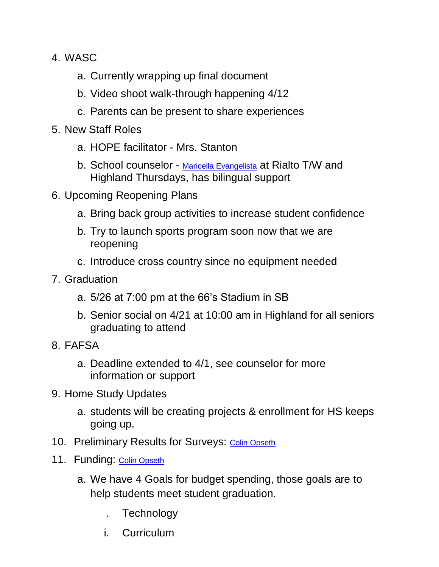- 4. WASC
	- a. Currently wrapping up final document
	- b. Video shoot walk-through happening 4/12
	- c. Parents can be present to share experiences
- 5. New Staff Roles
	- a. HOPE facilitator Mrs. Stanton
	- b. School counselor [Maricella Evangelista](mailto:maricella.evangelista@vistanortecharter.school) at Rialto T/W and Highland Thursdays, has bilingual support
- 6. Upcoming Reopening Plans
	- a. Bring back group activities to increase student confidence
	- b. Try to launch sports program soon now that we are reopening
	- c. Introduce cross country since no equipment needed
- 7. Graduation
	- a. 5/26 at 7:00 pm at the 66's Stadium in SB
	- b. Senior social on 4/21 at 10:00 am in Highland for all seniors graduating to attend
- 8. FAFSA
	- a. Deadline extended to 4/1, see counselor for more information or support
- 9. Home Study Updates
	- a. students will be creating projects & enrollment for HS keeps going up.
- 10. Preliminary Results for Surveys: [Colin Opseth](mailto:copseth@innovationhigh.school)
- 11. Funding: [Colin Opseth](mailto:copseth@innovationhigh.school)
	- a. We have 4 Goals for budget spending, those goals are to help students meet student graduation.
		- . Technology
		- i. Curriculum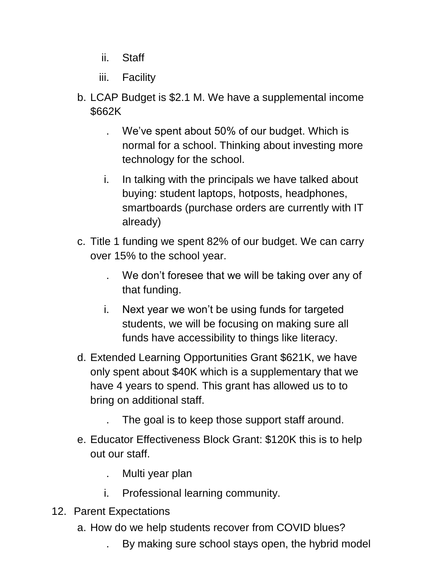- ii. Staff
- iii. Facility
- b. LCAP Budget is \$2.1 M. We have a supplemental income \$662K
	- We've spent about 50% of our budget. Which is normal for a school. Thinking about investing more technology for the school.
	- i. In talking with the principals we have talked about buying: student laptops, hotposts, headphones, smartboards (purchase orders are currently with IT already)
- c. Title 1 funding we spent 82% of our budget. We can carry over 15% to the school year.
	- . We don't foresee that we will be taking over any of that funding.
	- i. Next year we won't be using funds for targeted students, we will be focusing on making sure all funds have accessibility to things like literacy.
- d. Extended Learning Opportunities Grant \$621K, we have only spent about \$40K which is a supplementary that we have 4 years to spend. This grant has allowed us to to bring on additional staff.
	- The goal is to keep those support staff around.
- e. Educator Effectiveness Block Grant: \$120K this is to help out our staff.
	- . Multi year plan
	- i. Professional learning community.
- 12. Parent Expectations
	- a. How do we help students recover from COVID blues?
		- . By making sure school stays open, the hybrid model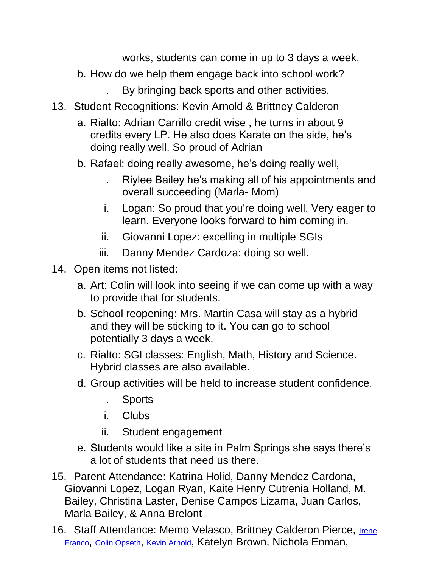works, students can come in up to 3 days a week.

- b. How do we help them engage back into school work?
	- . By bringing back sports and other activities.
- 13. Student Recognitions: Kevin Arnold & Brittney Calderon
	- a. Rialto: Adrian Carrillo credit wise , he turns in about 9 credits every LP. He also does Karate on the side, he's doing really well. So proud of Adrian
	- b. Rafael: doing really awesome, he's doing really well,
		- . Riylee Bailey he's making all of his appointments and overall succeeding (Marla- Mom)
		- i. Logan: So proud that you're doing well. Very eager to learn. Everyone looks forward to him coming in.
		- ii. Giovanni Lopez: excelling in multiple SGIs
		- iii. Danny Mendez Cardoza: doing so well.
- 14. Open items not listed:
	- a. Art: Colin will look into seeing if we can come up with a way to provide that for students.
	- b. School reopening: Mrs. Martin Casa will stay as a hybrid and they will be sticking to it. You can go to school potentially 3 days a week.
	- c. Rialto: SGI classes: English, Math, History and Science. Hybrid classes are also available.
	- d. Group activities will be held to increase student confidence.
		- . Sports
		- i. Clubs
		- ii. Student engagement
	- e. Students would like a site in Palm Springs she says there's a lot of students that need us there.
- 15. Parent Attendance: Katrina Holid, Danny Mendez Cardona, Giovanni Lopez, Logan Ryan, Kaite Henry Cutrenia Holland, M. Bailey, Christina Laster, Denise Campos Lizama, Juan Carlos, Marla Bailey, & Anna Brelont
- 16. Staff Attendance: Memo Velasco, Brittney Calderon Pierce, Irene [Franco](mailto:ifranco@altavistalearning.school), [Colin Opseth](mailto:copseth@innovationhigh.school), [Kevin Arnold](mailto:karnold@vistanortecharter.school), Katelyn Brown, Nichola Enman,